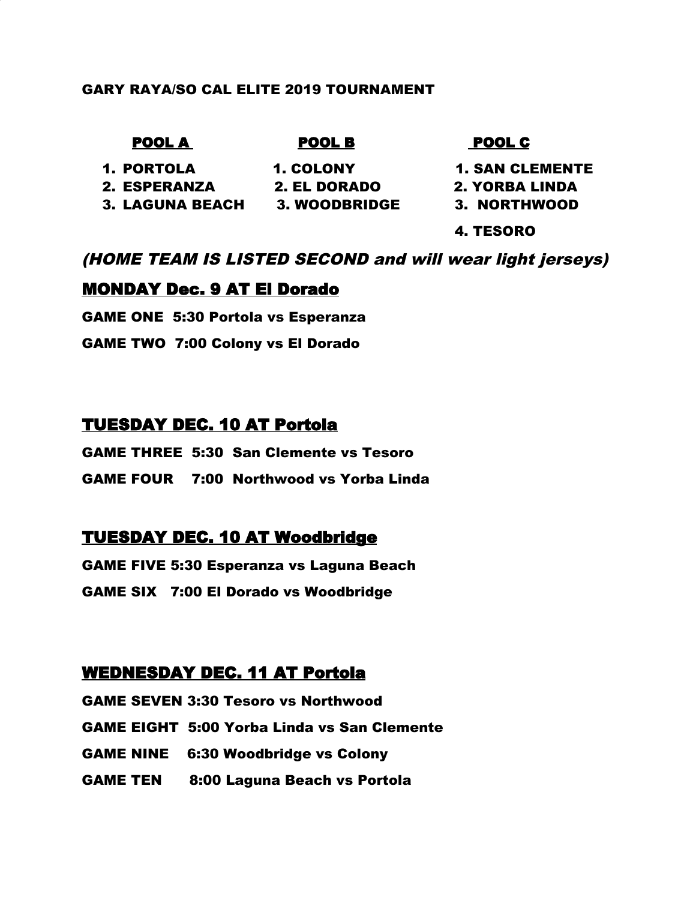#### GARY RAYA/SO CAL ELITE 2019 TOURNAMENT

#### POOL A POOL B POOL C

1. PORTOLA 1. COLONY 1. SAN CLEMENTE

- -
	-

2. ESPERANZA 2. EL DORADO 2. YORBA LINDA

- 
- 3. LAGUNA BEACH 3. WOODBRIDGE 3. NORTHWOOD

4. TESORO

## (HOME TEAM IS LISTED SECOND and will wear light jerseys)

## MONDAY Dec. 9 AT El Dorado

GAME ONE 5:30 Portola vs Esperanza

GAME TWO 7:00 Colony vs El Dorado

## TUESDAY DEC. 10 AT Portola

GAME THREE 5:30 San Clemente vs Tesoro GAME FOUR 7:00 Northwood vs Yorba Linda

# TUESDAY DEC. 10 AT Woodbridge

GAME FIVE 5:30 Esperanza vs Laguna Beach GAME SIX 7:00 El Dorado vs Woodbridge

## WEDNESDAY DEC. 11 AT Portola

GAME SEVEN 3:30 Tesoro vs Northwood GAME EIGHT 5:00 Yorba Linda vs San Clemente GAME NINE 6:30 Woodbridge vs Colony GAME TEN 8:00 Laguna Beach vs Portola